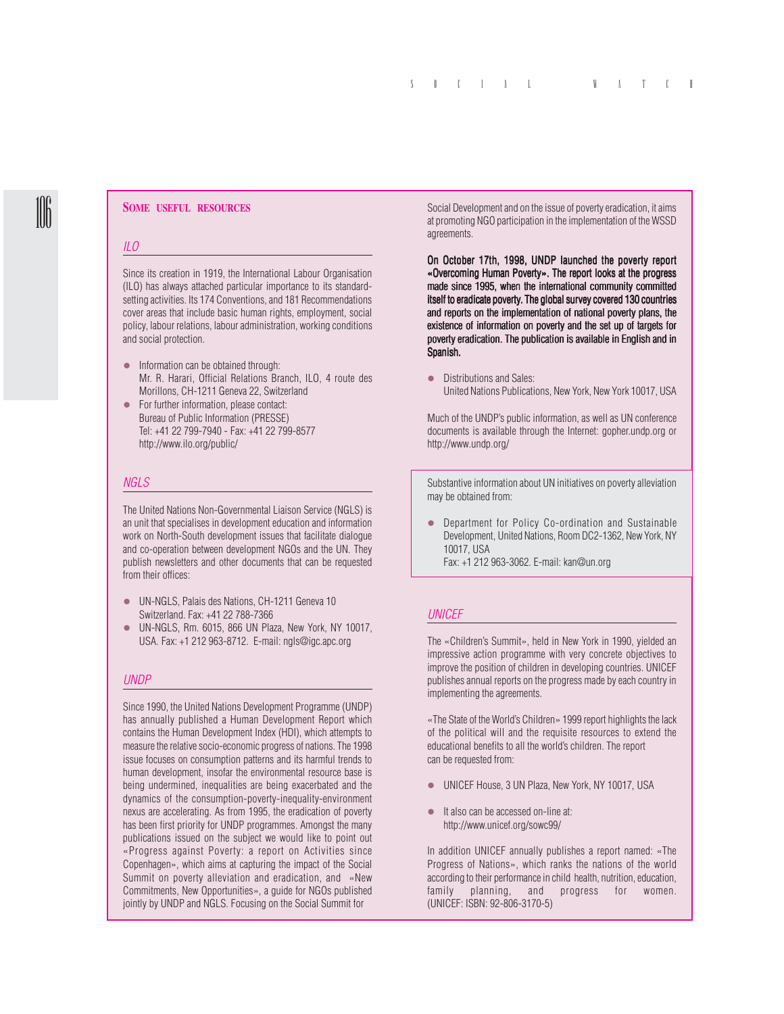#### **SOME USEFUL RESOURCES**

#### *ILO*

Since its creation in 1919, the International Labour Organisation (ILO) has always attached particular importance to its standardsetting activities. Its 174 Conventions, and 181 Recommendations cover areas that include basic human rights, employment, social policy, labour relations, labour administration, working conditions and social protection.

- $\bullet$  Information can be obtained through: Mr. R. Harari, Official Relations Branch, ILO, 4 route des Morillons, CH-1211 Geneva 22, Switzerland
- For further information, please contact: Bureau of Public Information (PRESSE) Tel: +41 22 799-7940 - Fax: +41 22 799-8577 http://www.ilo.org/public/

## *NGLS*

The United Nations Non-Governmental Liaison Service (NGLS) is an unit that specialises in development education and information work on North-South development issues that facilitate dialogue and co-operation between development NGOs and the UN. They publish newsletters and other documents that can be requested from their offices:

- UN-NGLS, Palais des Nations, CH-1211 Geneva 10 Switzerland. Fax: +41 22 788-7366
- z UN-NGLS, Rm. 6015, 866 UN Plaza, New York, NY 10017, USA. Fax: +1 212 963-8712. E-mail: ngls@igc.apc.org

# *UNDP*

Since 1990, the United Nations Development Programme (UNDP) has annually published a Human Development Report which contains the Human Development Index (HDI), which attempts to measure the relative socio-economic progress of nations. The 1998 issue focuses on consumption patterns and its harmful trends to human development, insofar the environmental resource base is being undermined, inequalities are being exacerbated and the dynamics of the consumption-poverty-inequality-environment nexus are accelerating. As from 1995, the eradication of poverty has been first priority for UNDP programmes. Amongst the many publications issued on the subject we would like to point out «Progress against Poverty: a report on Activities since Copenhagen», which aims at capturing the impact of the Social Summit on poverty alleviation and eradication, and «New Commitments, New Opportunities», a guide for NGOs published jointly by UNDP and NGLS. Focusing on the Social Summit for

Social Development and on the issue of poverty eradication, it aims at promoting NGO participation in the implementation of the WSSD agreements.

On October 17th, 1998, UNDP launched the poverty report «Overcoming Human Poverty». The report looks at the progress made since 1995, when the international community committed itself to eradicate poverty. The global survey covered 130 countries and reports on the implementation of national poverty plans, the existence of information on poverty and the set up of targets for poverty eradication. The publication is available in English and in Spanish.

• Distributions and Sales: United Nations Publications, New York, New York 10017, USA

Much of the UNDP's public information, as well as UN conference documents is available through the Internet: gopher.undp.org or http://www.undp.org/

Substantive information about UN initiatives on poverty alleviation may be obtained from:

• Department for Policy Co-ordination and Sustainable Development, United Nations, Room DC2-1362, New York, NY 10017, USA Fax: +1 212 963-3062. E-mail: kan@un.org

# *UNICEF*

The «Children's Summit», held in New York in 1990, yielded an impressive action programme with very concrete objectives to improve the position of children in developing countries. UNICEF publishes annual reports on the progress made by each country in implementing the agreements.

«The State of the World's Children» 1999 report highlights the lack of the political will and the requisite resources to extend the educational benefits to all the world's children. The report can be requested from:

- UNICEF House, 3 UN Plaza, New York, NY 10017, USA
- $\bullet$  It also can be accessed on-line at: http://www.unicef.org/sowc99/

In addition UNICEF annually publishes a report named: «The Progress of Nations», which ranks the nations of the world according to their performance in child health, nutrition, education, family planning, and progress for women. (UNICEF: ISBN: 92-806-3170-5)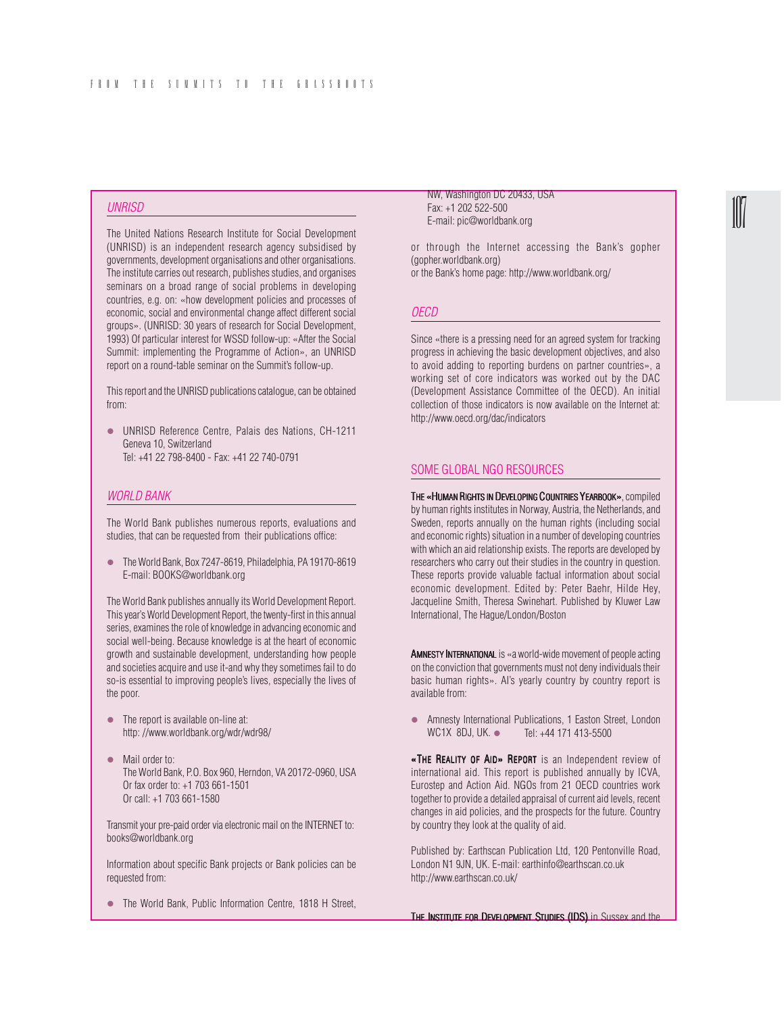# *UNRISD*

The United Nations Research Institute for Social Development (UNRISD) is an independent research agency subsidised by governments, development organisations and other organisations. The institute carries out research, publishes studies, and organises seminars on a broad range of social problems in developing countries, e.g. on: «how development policies and processes of economic, social and environmental change affect different social groups». (UNRISD: 30 years of research for Social Development, 1993) Of particular interest for WSSD follow-up: «After the Social Summit: implementing the Programme of Action», an UNRISD report on a round-table seminar on the Summit's follow-up.

This report and the UNRISD publications catalogue, can be obtained from:

• UNRISD Reference Centre, Palais des Nations, CH-1211 Geneva 10, Switzerland Tel: +41 22 798-8400 - Fax: +41 22 740-0791

# *WORLD BANK*

The World Bank publishes numerous reports, evaluations and studies, that can be requested from their publications office:

• The World Bank, Box 7247-8619, Philadelphia, PA 19170-8619 E-mail: BOOKS@worldbank.org

The World Bank publishes annually its World Development Report. This year's World Development Report, the twenty-first in this annual series, examines the role of knowledge in advancing economic and social well-being. Because knowledge is at the heart of economic growth and sustainable development, understanding how people and societies acquire and use it-and why they sometimes fail to do so-is essential to improving people's lives, especially the lives of the poor.

- $\bullet$  The report is available on-line at: http: //www.worldbank.org/wdr/wdr98/
- Mail order to: The World Bank, P.O. Box 960, Herndon, VA 20172-0960, USA Or fax order to: +1 703 661-1501 Or call: +1 703 661-1580

Transmit your pre-paid order via electronic mail on the INTERNET to: books@worldbank.org

Information about specific Bank projects or Bank policies can be requested from:

• The World Bank, Public Information Centre, 1818 H Street,

NW, Washington DC 20433, USA Fax: +1 202 522-500 E-mail: pic@worldbank.org

or through the Internet accessing the Bank's gopher (gopher.worldbank.org) or the Bank's home page: http://www.worldbank.org/

### *OECD*

Since «there is a pressing need for an agreed system for tracking progress in achieving the basic development objectives, and also to avoid adding to reporting burdens on partner countries», a working set of core indicators was worked out by the DAC (Development Assistance Committee of the OECD). An initial collection of those indicators is now available on the Internet at: http://www.oecd.org/dac/indicators

# SOME GLOBAL NGO RESOURCES

THE «HUMAN RIGHTS IN DEVELOPING COUNTRIES YEARBOOK», compiled » by human rights institutes in Norway, Austria, the Netherlands, and Sweden, reports annually on the human rights (including social and economic rights) situation in a number of developing countries with which an aid relationship exists. The reports are developed by researchers who carry out their studies in the country in question. These reports provide valuable factual information about social economic development. Edited by: Peter Baehr, Hilde Hey, Jacqueline Smith, Theresa Swinehart. Published by Kluwer Law International, The Hague/London/Boston

AMNESTY INTERNATIONAL is «a world-wide movement of people acting on the conviction that governments must not deny individuals their basic human rights». AI's yearly country by country report is available from:

• Amnesty International Publications, 1 Easton Street, London<br>WC1X 8DJ, UK. • Tel: +44 171 413-5500 Tel: +44 171 413-5500

«THE REALITY OF AID» REPORT is an Independent review of international aid. This report is published annually by ICVA, Eurostep and Action Aid. NGOs from 21 OECD countries work together to provide a detailed appraisal of current aid levels, recent changes in aid policies, and the prospects for the future. Country by country they look at the quality of aid.

Published by: Earthscan Publication Ltd, 120 Pentonville Road, London N1 9JN, UK. E-mail: earthinfo@earthscan.co.uk http://www.earthscan.co.uk/

THE INSTITUTE FOR DEVELOPMENT STUDIES (IDS) in Sussex and the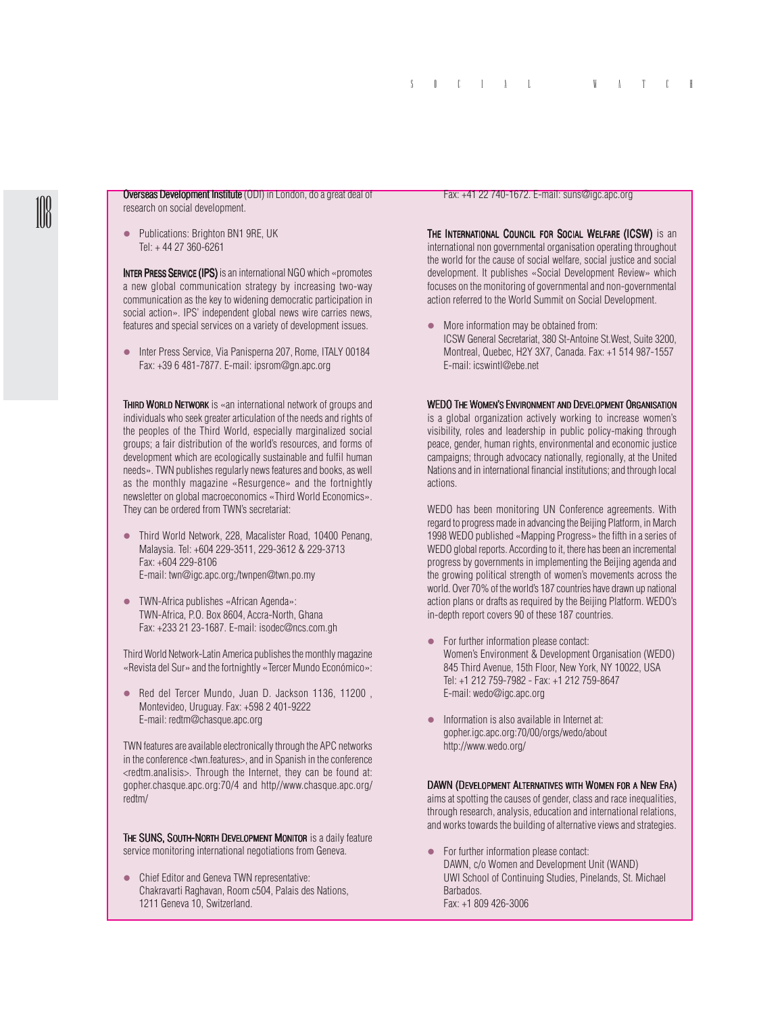Overseas Development Institute (ODI) in London, do a great deal of research on social development.

• Publications: Brighton BN1 9RE, UK Tel: + 44 27 360-6261

INTER PRESS SERVICE (IPS) is an international NGO which «promotes a new global communication strategy by increasing two-way communication as the key to widening democratic participation in social action». IPS' independent global news wire carries news, features and special services on a variety of development issues.

**•** Inter Press Service, Via Panisperna 207, Rome, ITALY 00184 Fax: +39 6 481-7877. E-mail: ipsrom@gn.apc.org

THIRD WORLD NETWORK is «an international network of groups and individuals who seek greater articulation of the needs and rights of the peoples of the Third World, especially marginalized social groups; a fair distribution of the world's resources, and forms of development which are ecologically sustainable and fulfil human needs». TWN publishes regularly news features and books, as well as the monthly magazine «Resurgence» and the fortnightly newsletter on global macroeconomics «Third World Economics». They can be ordered from TWN's secretariat:

- Third World Network, 228, Macalister Road, 10400 Penang, Malaysia. Tel: +604 229-3511, 229-3612 & 229-3713 Fax: +604 229-8106 E-mail: twn@igc.apc.org;/twnpen@twn.po.my
- $\bullet$  TWN-Africa publishes «African Agenda»: TWN-Africa, P.O. Box 8604, Accra-North, Ghana Fax: +233 21 23-1687. E-mail: isodec@ncs.com.gh

Third World Network-Latin America publishes the monthly magazine «Revista del Sur» and the fortnightly «Tercer Mundo Económico»:

● Red del Tercer Mundo, Juan D. Jackson 1136, 11200 Montevideo, Uruguay. Fax: +598 2 401-9222 E-mail: redtm@chasque.apc.org

TWN features are available electronically through the APC networks in the conference <twn.features>, and in Spanish in the conference <redtm.analisis>. Through the Internet, they can be found at: gopher.chasque.apc.org:70/4 and http//www.chasque.apc.org/ redtm/

THE SUNS, SOUTH-NORTH DEVELOPMENT MONITOR is a daily feature service monitoring international negotiations from Geneva.

• Chief Editor and Geneva TWN representative: Chakravarti Raghavan, Room c504, Palais des Nations, 1211 Geneva 10, Switzerland.

#### Fax: +41 22 740-1672. E-mail: suns@igc.apc.org

THE INTERNATIONAL COUNCIL FOR SOCIAL WELFARE (ICSW) is an international non governmental organisation operating throughout the world for the cause of social welfare, social justice and social development. It publishes «Social Development Review» which focuses on the monitoring of governmental and non-governmental action referred to the World Summit on Social Development.

 $\bullet$  More information may be obtained from: ICSW General Secretariat, 380 St-Antoine St.West, Suite 3200, Montreal, Quebec, H2Y 3X7, Canada. Fax: +1 514 987-1557 E-mail: icswintl@ebe.net

#### WEDO THE WOMEN'S ENVIRONMENT AND DEVELOPMENT ORGANISATION

is a global organization actively working to increase women's visibility, roles and leadership in public policy-making through peace, gender, human rights, environmental and economic justice campaigns; through advocacy nationally, regionally, at the United Nations and in international financial institutions; and through local actions.

WEDO has been monitoring UN Conference agreements. With regard to progress made in advancing the Beijing Platform, in March 1998 WEDO published «Mapping Progress» the fifth in a series of WEDO global reports. According to it, there has been an incremental progress by governments in implementing the Beijing agenda and the growing political strength of women's movements across the world. Over 70% of the world's 187 countries have drawn up national action plans or drafts as required by the Beijing Platform. WEDO's in-depth report covers 90 of these 187 countries.

- For further information please contact: Women's Environment & Development Organisation (WEDO) 845 Third Avenue, 15th Floor, New York, NY 10022, USA Tel: +1 212 759-7982 - Fax: +1 212 759-8647 E-mail: wedo@igc.apc.org
- $\bullet$  Information is also available in Internet at: gopher.igc.apc.org:70/00/orgs/wedo/about http://www.wedo.org/

#### DAWN (DEVELOPMENT ALTERNATIVES WITH WOMEN FOR A NEW ERA)

aims at spotting the causes of gender, class and race inequalities, through research, analysis, education and international relations, and works towards the building of alternative views and strategies.

• For further information please contact: DAWN, c/o Women and Development Unit (WAND) UWI School of Continuing Studies, Pinelands, St. Michael Barbados. Fax: +1 809 426-3006